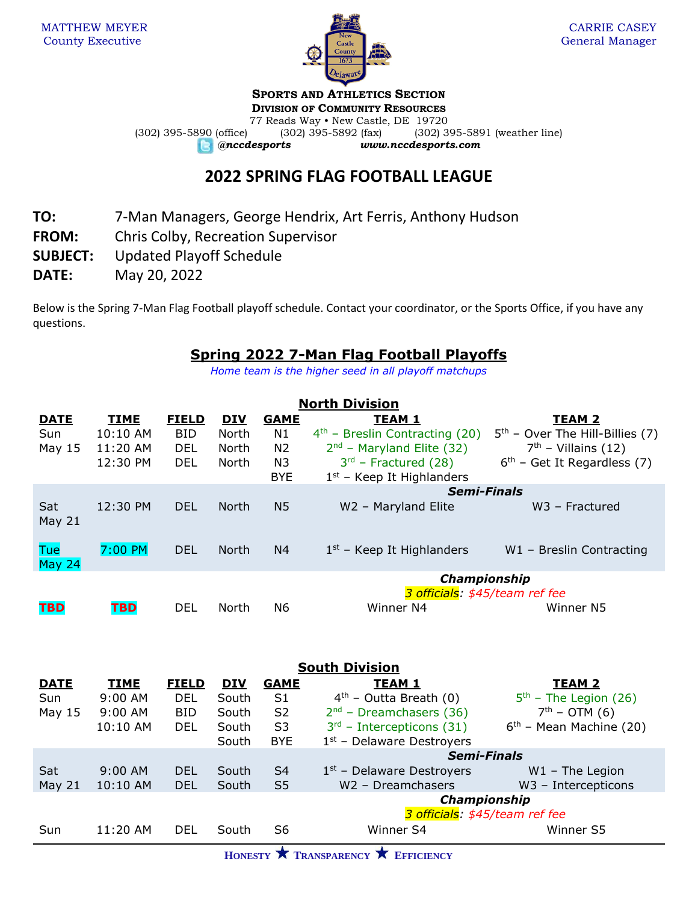

## **SPORTS AND ATHLETICS SECTION**

**DIVISION OF COMMUNITY RESOURCES** 77 Reads Way • New Castle, DE 19720 (302) 395-5890 (office) (302) 395-5892 (fax) (302) 395-5891 (weather line) *@nccdesports www.nccdesports.com*

## **2022 SPRING FLAG FOOTBALL LEAGUE**

- **TO:** 7-Man Managers, George Hendrix, Art Ferris, Anthony Hudson
- **FROM:** Chris Colby, Recreation Supervisor
- **SUBJECT:** Updated Playoff Schedule
- **DATE:** May 20, 2022

Below is the Spring 7-Man Flag Football playoff schedule. Contact your coordinator, or the Sports Office, if you have any questions.

## **Spring 2022 7-Man Flag Football Playoffs**

*Home team is the higher seed in all playoff matchups*

| <b>North Division</b> |             |              |              |                |                                  |                                   |  |  |
|-----------------------|-------------|--------------|--------------|----------------|----------------------------------|-----------------------------------|--|--|
| <b>DATE</b>           | <b>TIME</b> | <b>FIELD</b> | <u>DIV</u>   | <b>GAME</b>    | <b>TEAM 1</b>                    | <b>TEAM 2</b>                     |  |  |
| Sun                   | 10:10 AM    | <b>BID</b>   | North        | N1             | $4th$ – Breslin Contracting (20) | $5th$ – Over The Hill-Billies (7) |  |  |
| May $15$              | 11:20 AM    | DEL.         | North        | N <sub>2</sub> | $2nd$ – Maryland Elite (32)      | $7th$ – Villains (12)             |  |  |
|                       | 12:30 PM    | DEL.         | North        | N3             | $3rd$ – Fractured (28)           | $6th$ – Get It Regardless (7)     |  |  |
|                       |             |              |              | <b>BYE</b>     | $1st$ – Keep It Highlanders      |                                   |  |  |
|                       |             |              |              |                | <b>Semi-Finals</b>               |                                   |  |  |
| Sat                   | 12:30 PM    | DEL.         | North        | N <sub>5</sub> | W2 - Maryland Elite              | $W3$ – Fractured                  |  |  |
| May $21$              |             |              |              |                |                                  |                                   |  |  |
| <b>Tue</b>            | $7:00$ PM   | <b>DEL</b>   | <b>North</b> | N4             | $1st$ – Keep It Highlanders      | $W1$ – Breslin Contracting        |  |  |
| May 24                |             |              |              |                |                                  |                                   |  |  |
|                       |             |              |              |                | Championship                     |                                   |  |  |
|                       |             |              |              |                | 3 officials: \$45/team ref fee   |                                   |  |  |
| <b>TBD</b>            | <b>TBD</b>  | <b>DEL</b>   | North        | N6             | Winner N4                        | Winner N5                         |  |  |

| <b>South Division</b> |              |            |                |                                |                           |  |  |
|-----------------------|--------------|------------|----------------|--------------------------------|---------------------------|--|--|
| <b>TIME</b>           | <b>FIELD</b> | <b>DIV</b> | <b>GAME</b>    | <b>TEAM 1</b>                  | TEAM <sub>2</sub>         |  |  |
| $9:00$ AM             | DEL          | South      | S <sub>1</sub> | $4th$ – Outta Breath (0)       | $5th$ – The Legion (26)   |  |  |
| 9:00 AM               | <b>BID</b>   | South      | S <sub>2</sub> | $2nd$ – Dreamchasers (36)      | $7th - OTM(6)$            |  |  |
| 10:10 AM              | <b>DEL</b>   | South      | S <sub>3</sub> | $3rd$ – Intercepticons (31)    | $6th$ – Mean Machine (20) |  |  |
|                       |              | South      | <b>BYE</b>     | $1st$ – Delaware Destroyers    |                           |  |  |
|                       |              |            |                | <b>Semi-Finals</b>             |                           |  |  |
| $9:00$ AM             | <b>DEL</b>   | South      | S4             | $1st$ – Delaware Destroyers    | $W1$ – The Legion         |  |  |
| 10:10 AM              | <b>DEL</b>   | South      | S <sub>5</sub> | W2 - Dreamchasers              | $W3$ – Intercepticons     |  |  |
|                       |              |            |                | Championship                   |                           |  |  |
|                       |              |            |                | 3 officials: \$45/team ref fee |                           |  |  |
| 11:20 AM              | <b>DEL</b>   | South      | S6             | Winner S4                      | Winner S5                 |  |  |
|                       |              |            |                |                                |                           |  |  |

**HONESTY TRANSPARENCY EFFICIENCY**